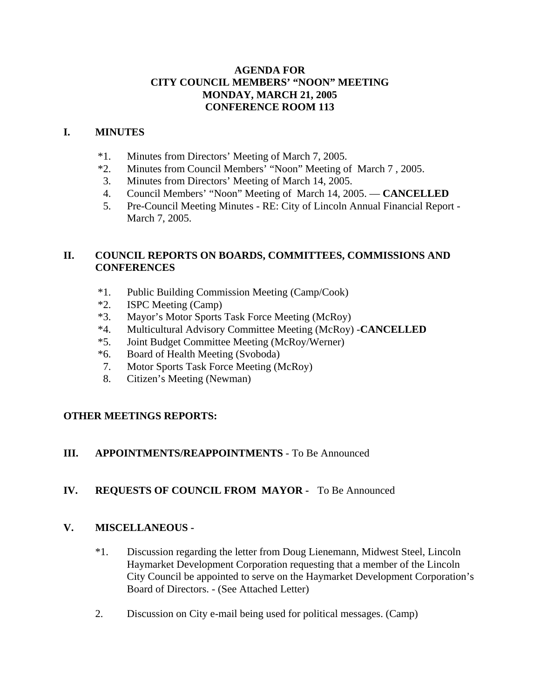### **AGENDA FOR CITY COUNCIL MEMBERS' "NOON" MEETING MONDAY, MARCH 21, 2005 CONFERENCE ROOM 113**

### **I. MINUTES**

- \*1. Minutes from Directors' Meeting of March 7, 2005.
- \*2. Minutes from Council Members' "Noon" Meeting of March 7 , 2005.
- 3. Minutes from Directors' Meeting of March 14, 2005.
- 4. Council Members' "Noon" Meeting of March 14, 2005. **CANCELLED**
- 5. Pre-Council Meeting Minutes RE: City of Lincoln Annual Financial Report March 7, 2005.

## **II. COUNCIL REPORTS ON BOARDS, COMMITTEES, COMMISSIONS AND CONFERENCES**

- \*1. Public Building Commission Meeting (Camp/Cook)
- \*2. ISPC Meeting (Camp)
- \*3. Mayor's Motor Sports Task Force Meeting (McRoy)
- \*4. Multicultural Advisory Committee Meeting (McRoy) -**CANCELLED**
- \*5. Joint Budget Committee Meeting (McRoy/Werner)
- \*6. Board of Health Meeting (Svoboda)
- 7. Motor Sports Task Force Meeting (McRoy)
- 8. Citizen's Meeting (Newman)

# **OTHER MEETINGS REPORTS:**

# **III. APPOINTMENTS/REAPPOINTMENTS** - To Be Announced

# **IV. REQUESTS OF COUNCIL FROM MAYOR -** To Be Announced

### **V. MISCELLANEOUS -**

- \*1. Discussion regarding the letter from Doug Lienemann, Midwest Steel, Lincoln Haymarket Development Corporation requesting that a member of the Lincoln City Council be appointed to serve on the Haymarket Development Corporation's Board of Directors. - (See Attached Letter)
- 2. Discussion on City e-mail being used for political messages. (Camp)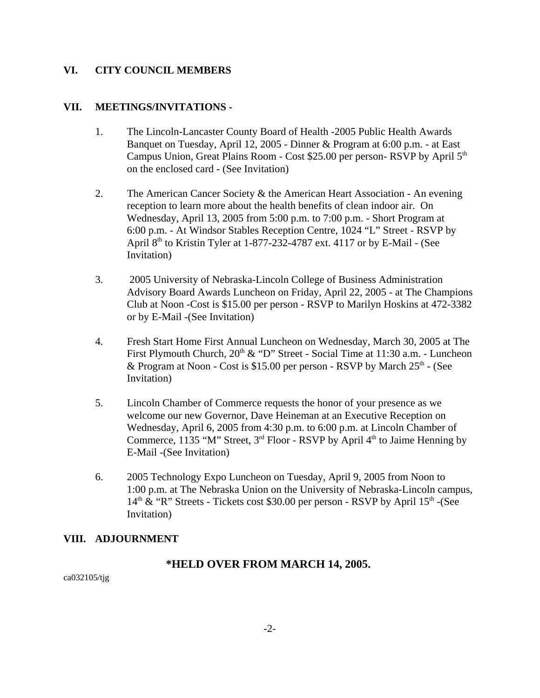#### **VI. CITY COUNCIL MEMBERS**

#### **VII. MEETINGS/INVITATIONS -**

- 1. The Lincoln-Lancaster County Board of Health -2005 Public Health Awards Banquet on Tuesday, April 12, 2005 - Dinner & Program at 6:00 p.m. - at East Campus Union, Great Plains Room - Cost \$25.00 per person-RSVP by April 5<sup>th</sup> on the enclosed card - (See Invitation)
- 2. The American Cancer Society & the American Heart Association An evening reception to learn more about the health benefits of clean indoor air. On Wednesday, April 13, 2005 from 5:00 p.m. to 7:00 p.m. - Short Program at 6:00 p.m. - At Windsor Stables Reception Centre, 1024 "L" Street - RSVP by April  $8<sup>th</sup>$  to Kristin Tyler at 1-877-232-4787 ext. 4117 or by E-Mail - (See Invitation)
- 3. 2005 University of Nebraska-Lincoln College of Business Administration Advisory Board Awards Luncheon on Friday, April 22, 2005 - at The Champions Club at Noon -Cost is \$15.00 per person - RSVP to Marilyn Hoskins at 472-3382 or by E-Mail -(See Invitation)
- 4. Fresh Start Home First Annual Luncheon on Wednesday, March 30, 2005 at The First Plymouth Church,  $20<sup>th</sup>$  & "D" Street - Social Time at 11:30 a.m. - Luncheon & Program at Noon - Cost is \$15.00 per person - RSVP by March  $25<sup>th</sup>$  - (See Invitation)
- 5. Lincoln Chamber of Commerce requests the honor of your presence as we welcome our new Governor, Dave Heineman at an Executive Reception on Wednesday, April 6, 2005 from 4:30 p.m. to 6:00 p.m. at Lincoln Chamber of Commerce, 1135 "M" Street,  $3<sup>rd</sup>$  Floor - RSVP by April  $4<sup>th</sup>$  to Jaime Henning by E-Mail -(See Invitation)
- 6. 2005 Technology Expo Luncheon on Tuesday, April 9, 2005 from Noon to 1:00 p.m. at The Nebraska Union on the University of Nebraska-Lincoln campus,  $14<sup>th</sup>$  & "R" Streets - Tickets cost \$30.00 per person - RSVP by April  $15<sup>th</sup>$  -(See Invitation)

### **VIII. ADJOURNMENT**

### **\*HELD OVER FROM MARCH 14, 2005.**

ca032105/tjg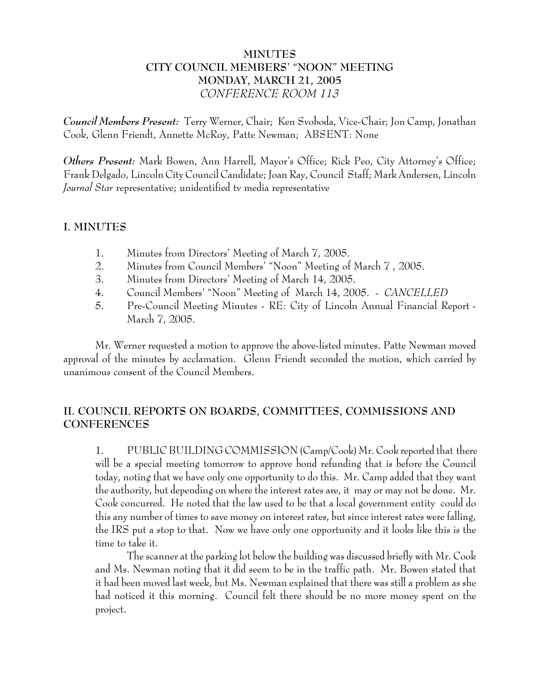## **MINUTES CITY COUNCIL MEMBERS' "NOON" MEETING MONDAY, MARCH 21, 2005** *CONFERENCE ROOM 113*

*Council Members Present:* Terry Werner, Chair; Ken Svoboda, Vice-Chair; Jon Camp, Jonathan Cook, Glenn Friendt, Annette McRoy, Patte Newman; ABSENT: None

*Others Present:* Mark Bowen, Ann Harrell, Mayor's Office; Rick Peo, City Attorney's Office; Frank Delgado, Lincoln City Council Candidate; Joan Ray, Council Staff; Mark Andersen, Lincoln *Journal Star* representative; unidentified tv media representative

#### **I. MINUTES**

- 1. Minutes from Directors' Meeting of March 7, 2005.
- 2. Minutes from Council Members' "Noon" Meeting of March 7 , 2005.
- 3. Minutes from Directors' Meeting of March 14, 2005.
- 4. Council Members' "Noon" Meeting of March 14, 2005. *CANCELLED*
- 5. Pre-Council Meeting Minutes RE: City of Lincoln Annual Financial Report March 7, 2005.

Mr. Werner requested a motion to approve the above-listed minutes. Patte Newman moved approval of the minutes by acclamation. Glenn Friendt seconded the motion, which carried by unanimous consent of the Council Members.

## **II. COUNCIL REPORTS ON BOARDS, COMMITTEES, COMMISSIONS AND CONFERENCES**

1. PUBLIC BUILDING COMMISSION (Camp/Cook) Mr. Cook reported that there will be a special meeting tomorrow to approve bond refunding that is before the Council today, noting that we have only one opportunity to do this. Mr. Camp added that they want the authority, but depending on where the interest rates are, it may or may not be done. Mr. Cook concurred. He noted that the law used to be that a local government entity could do this any number of times to save money on interest rates, but since interest rates were falling, the IRS put a stop to that. Now we have only one opportunity and it looks like this is the time to take it.

The scanner at the parking lot below the building was discussed briefly with Mr. Cook and Ms. Newman noting that it did seem to be in the traffic path. Mr. Bowen stated that it had been moved last week, but Ms. Newman explained that there was still a problem as she had noticed it this morning. Council felt there should be no more money spent on the project.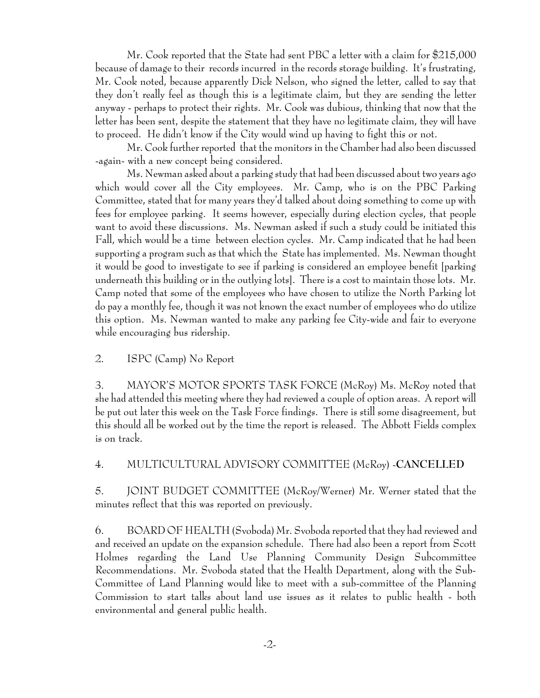Mr. Cook reported that the State had sent PBC a letter with a claim for \$215,000 because of damage to their records incurred in the records storage building. It's frustrating, Mr. Cook noted, because apparently Dick Nelson, who signed the letter, called to say that they don't really feel as though this is a legitimate claim, but they are sending the letter anyway - perhaps to protect their rights. Mr. Cook was dubious, thinking that now that the letter has been sent, despite the statement that they have no legitimate claim, they will have to proceed. He didn't know if the City would wind up having to fight this or not.

Mr. Cook further reported that the monitors in the Chamber had also been discussed -again- with a new concept being considered.

Ms. Newman asked about a parking study that had been discussed about two years ago which would cover all the City employees. Mr. Camp, who is on the PBC Parking Committee, stated that for many years they'd talked about doing something to come up with fees for employee parking. It seems however, especially during election cycles, that people want to avoid these discussions. Ms. Newman asked if such a study could be initiated this Fall, which would be a time between election cycles. Mr. Camp indicated that he had been supporting a program such as that which the State has implemented. Ms. Newman thought it would be good to investigate to see if parking is considered an employee benefit [parking underneath this building or in the outlying lots]. There is a cost to maintain those lots. Mr. Camp noted that some of the employees who have chosen to utilize the North Parking lot do pay a monthly fee, though it was not known the exact number of employees who do utilize this option. Ms. Newman wanted to make any parking fee City-wide and fair to everyone while encouraging bus ridership.

2. ISPC (Camp) No Report

3. MAYOR'S MOTOR SPORTS TASK FORCE (McRoy) Ms. McRoy noted that she had attended this meeting where they had reviewed a couple of option areas. A report will be put out later this week on the Task Force findings. There is still some disagreement, but this should all be worked out by the time the report is released. The Abbott Fields complex is on track.

4. MULTICULTURAL ADVISORY COMMITTEE (McRoy) -**CANCELLED**

5. JOINT BUDGET COMMITTEE (McRoy/Werner) Mr. Werner stated that the minutes reflect that this was reported on previously.

6. BOARD OF HEALTH (Svoboda) Mr. Svoboda reported that they had reviewed and and received an update on the expansion schedule. There had also been a report from Scott Holmes regarding the Land Use Planning Community Design Subcommittee Recommendations. Mr. Svoboda stated that the Health Department, along with the Sub-Committee of Land Planning would like to meet with a sub-committee of the Planning Commission to start talks about land use issues as it relates to public health - both environmental and general public health.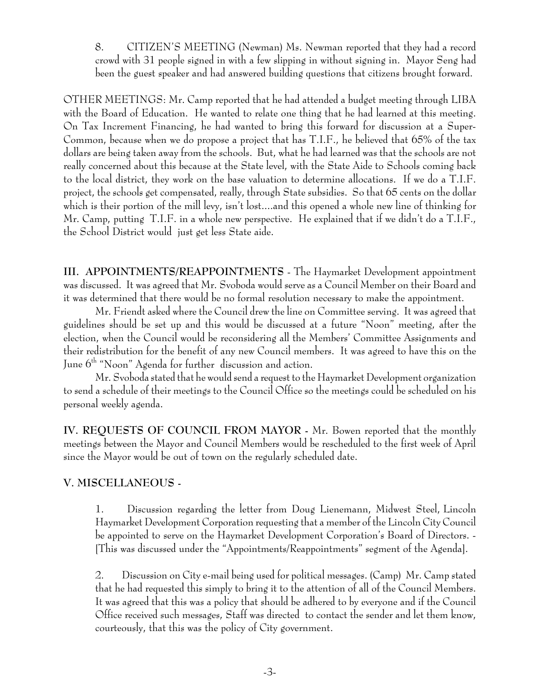8. CITIZEN'S MEETING (Newman) Ms. Newman reported that they had a record crowd with 31 people signed in with a few slipping in without signing in. Mayor Seng had been the guest speaker and had answered building questions that citizens brought forward.

OTHER MEETINGS: Mr. Camp reported that he had attended a budget meeting through LIBA with the Board of Education. He wanted to relate one thing that he had learned at this meeting. On Tax Increment Financing, he had wanted to bring this forward for discussion at a Super-Common, because when we do propose a project that has T.I.F., he believed that 65% of the tax dollars are being taken away from the schools. But, what he had learned was that the schools are not really concerned about this because at the State level, with the State Aide to Schools coming back to the local district, they work on the base valuation to determine allocations. If we do a T.I.F. project, the schools get compensated, really, through State subsidies. So that 65 cents on the dollar which is their portion of the mill levy, isn't lost....and this opened a whole new line of thinking for Mr. Camp, putting T.I.F. in a whole new perspective. He explained that if we didn't do a T.I.F., the School District would just get less State aide.

**III. APPOINTMENTS/REAPPOINTMENTS** - The Haymarket Development appointment was discussed. It was agreed that Mr. Svoboda would serve as a Council Member on their Board and it was determined that there would be no formal resolution necessary to make the appointment.

Mr. Friendt asked where the Council drew the line on Committee serving. It was agreed that guidelines should be set up and this would be discussed at a future "Noon" meeting, after the election, when the Council would be reconsidering all the Members' Committee Assignments and their redistribution for the benefit of any new Council members. It was agreed to have this on the June  $6<sup>th</sup>$  "Noon" Agenda for further discussion and action.

Mr. Svoboda stated that he would send a request to the Haymarket Development organization to send a schedule of their meetings to the Council Office so the meetings could be scheduled on his personal weekly agenda.

**IV. REQUESTS OF COUNCIL FROM MAYOR -** Mr. Bowen reported that the monthly meetings between the Mayor and Council Members would be rescheduled to the first week of April since the Mayor would be out of town on the regularly scheduled date.

### **V. MISCELLANEOUS -**

1. Discussion regarding the letter from Doug Lienemann, Midwest Steel, Lincoln Haymarket Development Corporation requesting that a member of the Lincoln City Council be appointed to serve on the Haymarket Development Corporation's Board of Directors. - [This was discussed under the "Appointments/Reappointments" segment of the Agenda].

2. Discussion on City e-mail being used for political messages. (Camp) Mr. Camp stated that he had requested this simply to bring it to the attention of all of the Council Members. It was agreed that this was a policy that should be adhered to by everyone and if the Council Office received such messages, Staff was directed to contact the sender and let them know, courteously, that this was the policy of City government.